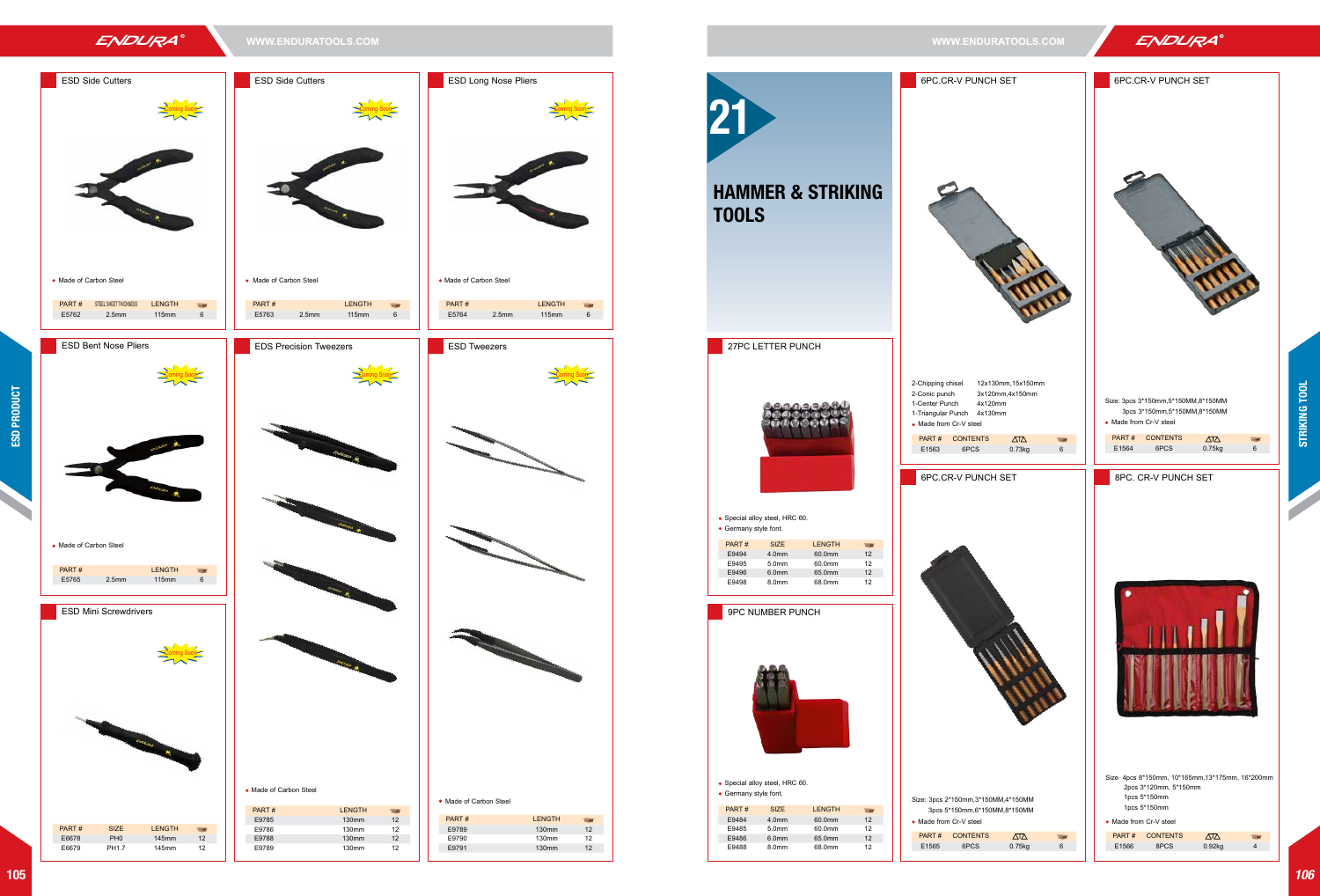## ENDURA

**WWW.ENDURATOOLS.COM WWW.ENDURATOOLS.COM**

**ESD Side Cutters** 

# ESD Side Cutters Coming Soon

• Made of Carbon Steel

E9785 130mm 12

E9788 130mm 12<br>E9789 130mm 12

130mm

**PART # STEEL SHEET THICKNESS LENGTH** E5762 2.5mm 115mm 6

**ESD Bent Nose Pliers** 



PART # LENGTH

• Made of Carbon Steel



27PC LETTER PUNCH Special alloy steel, HRC 60. • Germany style font. 9PC NUMBER PUNCH 6PC.CR-V PUNCH SET • Made from Cr-V steel 2-Conic punch 1-Center Punch 4x120mm 1-Triangular Punch 4x130mm Special alloy steel, HRC 60. Germany style font. PART # SIZE LENGTH E9494 4.0mm 60.0mm 12 E9495 5.0mm 60.0mm 12 E9496 6.0mm 65.0mm 12 68.0mm PART # SIZE LENGTH E9484 4.0mm 60.0mm 12 E9485 5.0mm 60.0mm 12 E9486 6.0mm 65.0mm 12 E9488 8.0mm 68.0mm 12 PART # CONTENTS 6PC.CR-V PUNCH SET • Made from Cr-V steel Size: 3pcs 2\*150mm,3\*150MM,4\*150MM PART # CONTENTS 21 HAMMER & STRIKING TOOLS





**ESD Mini Screwdrivers** 







PART # SIZE LENGTH E6678 PH0 145mm 12<br>E6679 PH1.7 145mm 12

145mm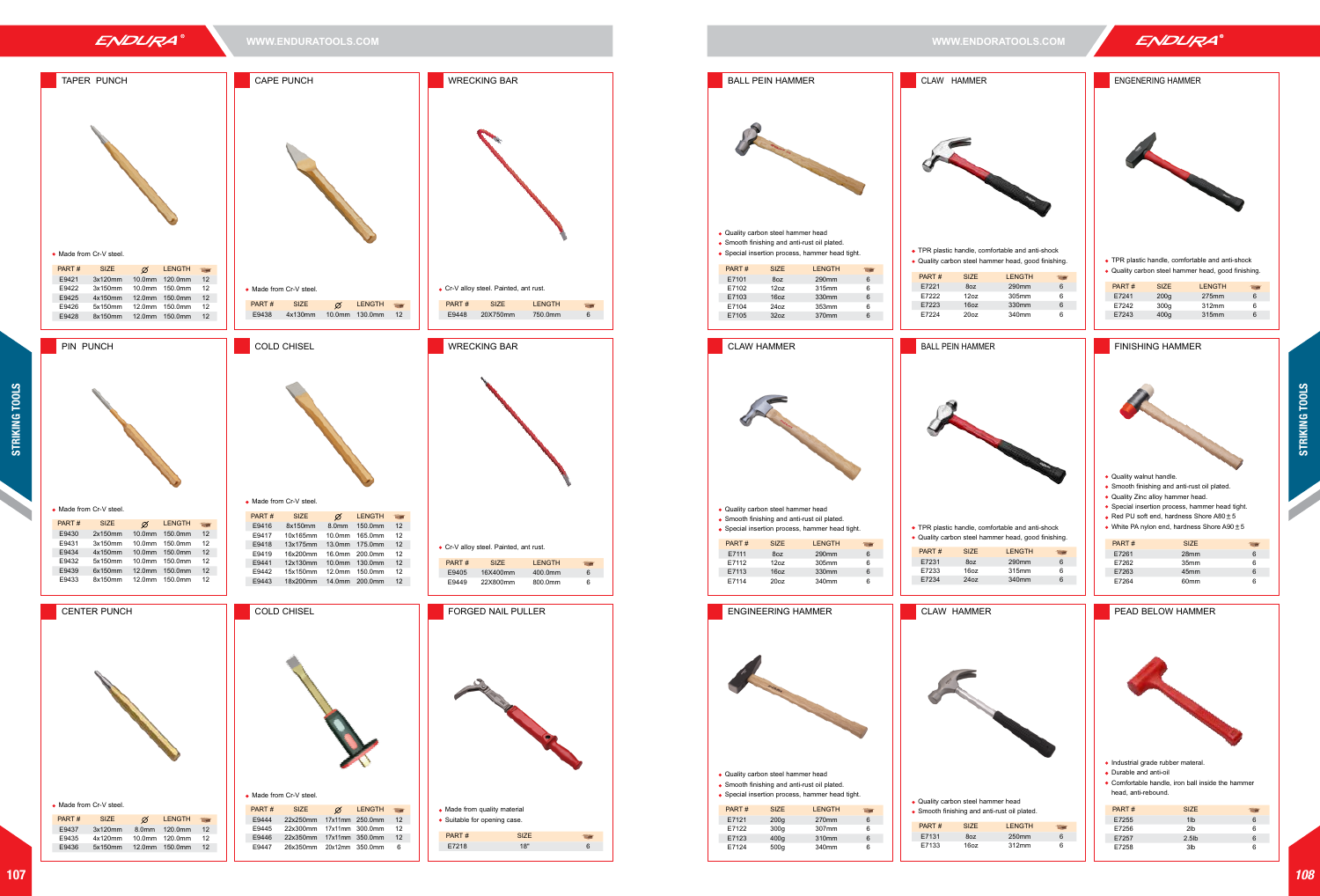## ENDURA

**WWW.ENDURATOOLS.COM WWW.ENDORATOOLS.COM**



- $\bullet$  TPR plastic handle, comfortable and anti-shock
- Quality carbon steel hammer head, good finishing.

- Quality walnut handle.
- Smooth finishing and anti-rust oil plated.
- Quality Zinc alloy hammer head.
- Special insertion process, hammer head tight.
- Red PU soft end, hardness Shore A80±5
- White PA nylon end, hardness Shore A90±5







- 
- Durable and anti-oil
- Comfortable handle, iron ball inside the hammer head, anti-rebound.

| PART# | <b>SIZE</b> | <b>LENGTH</b> |   |
|-------|-------------|---------------|---|
| E7241 | 200q        | 275mm         | հ |
| F7242 | 300q        | 312mm         | 6 |
| E7243 | 400q        | 315mm         | հ |
|       |             |               |   |

| <b>BALL PEIN HAMMER</b>                                                                                                                                                                                                                                                                                                    | CLAW HAMMER                                                                                                                                                                                                                                       |
|----------------------------------------------------------------------------------------------------------------------------------------------------------------------------------------------------------------------------------------------------------------------------------------------------------------------------|---------------------------------------------------------------------------------------------------------------------------------------------------------------------------------------------------------------------------------------------------|
|                                                                                                                                                                                                                                                                                                                            |                                                                                                                                                                                                                                                   |
| . Quality carbon steel hammer head<br>• Smooth finishing and anti-rust oil plated.<br>• Special insertion process, hammer head tight.                                                                                                                                                                                      | • TPR plastic handle, comfortable and anti-shock                                                                                                                                                                                                  |
| PART#<br><b>SIZE</b><br><b>LENGTH</b>                                                                                                                                                                                                                                                                                      | · Quality carbon steel hammer head, good finishing.                                                                                                                                                                                               |
| E7101<br>8oz<br>290mm<br>6                                                                                                                                                                                                                                                                                                 | PART#<br><b>SIZE</b><br><b>LENGTH</b><br>œ                                                                                                                                                                                                        |
| E7102<br>12oz<br>315mm<br>6                                                                                                                                                                                                                                                                                                | E7221<br>290mm<br>8oz<br>6<br>E7222<br>12oz<br>305mm<br>6                                                                                                                                                                                         |
| 16oz<br>6<br>E7103<br>330mm<br>E7104<br>24oz<br>6<br>353mm                                                                                                                                                                                                                                                                 | E7223<br>16oz<br>330mm<br>6                                                                                                                                                                                                                       |
| 6<br>E7105<br>32oz<br>370mm                                                                                                                                                                                                                                                                                                | E7224<br>20 <sub>oz</sub><br>340mm<br>6                                                                                                                                                                                                           |
| <b>CLAW HAMMER</b>                                                                                                                                                                                                                                                                                                         | <b>BALL PEIN HAMMER</b>                                                                                                                                                                                                                           |
| . Quality carbon steel hammer head<br>• Smooth finishing and anti-rust oil plated.<br>• Special insertion process, hammer head tight.<br><b>SIZE</b><br>PART#<br><b>LENGTH</b><br>÷<br>E7111<br>8oz<br>290mm<br>6<br>E7112<br>12oz<br>6<br>305mm<br>E7113<br>16oz<br>330mm<br>6<br>E7114<br>6<br>20 <sub>oz</sub><br>340mm | • TPR plastic handle, comfortable and anti-shock<br>• Quality carbon steel hammer head, good finishing.<br>PART#<br><b>SIZE</b><br><b>LENGTH</b><br>÷<br>6<br>E7231<br>8oz<br>290mm<br>E7233<br>16oz<br>6<br>315mm<br>E7234<br>24oz<br>6<br>340mm |
|                                                                                                                                                                                                                                                                                                                            |                                                                                                                                                                                                                                                   |
| <b>ENGINEERING HAMMER</b><br>. Quality carbon steel hammer head<br>• Smooth finishing and anti-rust oil plated.<br>· Special insertion process, hammer head tight.<br>PART#<br><b>SIZE</b><br><b>LENGTH</b><br>œ                                                                                                           | <b>CLAW HAMMER</b><br>. Quality carbon steel hammer head<br>• Smooth finishing and anti-rust oil plated.                                                                                                                                          |
| E7121<br>200 <sub>g</sub><br>270mm<br>6<br>E7122<br>300g<br>307mm<br>6                                                                                                                                                                                                                                                     | PART#<br><b>SIZE</b><br><b>LENGTH</b>                                                                                                                                                                                                             |
| 400g<br>6<br>E7123<br>310mm                                                                                                                                                                                                                                                                                                | E7131<br>8oz<br>250mm<br>6                                                                                                                                                                                                                        |
| E7124<br>340mm<br>6<br>500g                                                                                                                                                                                                                                                                                                | 16oz<br>E7133<br>312mm<br>6                                                                                                                                                                                                                       |
|                                                                                                                                                                                                                                                                                                                            |                                                                                                                                                                                                                                                   |



## **ENGENERING HAMMER**



| PART# | <b>SIZE</b>      |   |
|-------|------------------|---|
| E7261 | 28mm             | 6 |
| E7262 | 35mm             | 6 |
| E7263 | 45mm             | 6 |
| E7264 | 60 <sub>mm</sub> | ี |
|       |                  |   |

**PEAD BELOW HAMMER** 

| PART# | <b>SIZE</b>     |   |
|-------|-----------------|---|
| E7255 | 1 <sub>1</sub>  | 6 |
| E7256 | 2 <sub>1b</sub> | 6 |
| E7257 | $2.5$ lb        | 6 |
| E7258 | 3 <sub>th</sub> | 6 |
|       |                 |   |